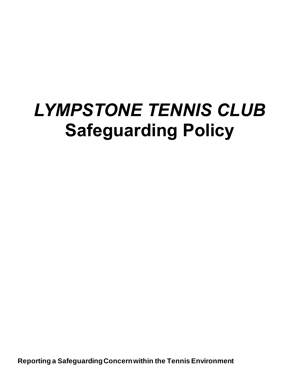# *LYMPSTONE TENNIS CLUB* **Safeguarding Policy**

**Reporting a Safeguarding Concern within the Tennis Environment**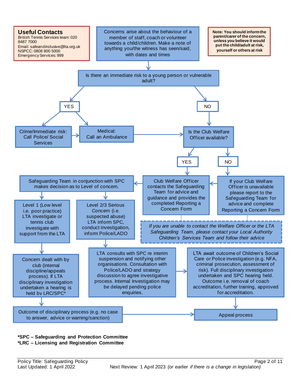

#### **\*SPC – Safeguarding and Protection Committee \*LRC – Licensing and Registration Committee**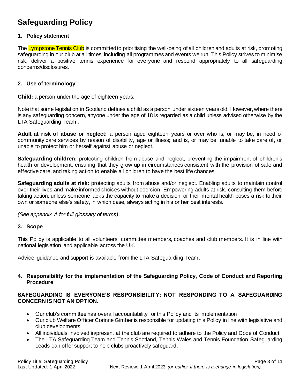# **Safeguarding Policy**

#### **1. Policy statement**

The Lympstone Tennis Club is committed to prioritising the well-being of all children and adults at risk, promoting safeguarding in our club at all times, including all programmes and events we run. This Policy strives to minimise risk, deliver a positive tennis experience for everyone and respond appropriately to all safeguarding concerns/disclosures.

#### **2. Use of terminology**

**Child:** a person under the age of eighteen years.

Note that some legislation in Scotland defines a child as a person under sixteen years old. However, where there is any safeguarding concern, anyone under the age of 18 is regarded as a child unless advised otherwise by the LTA Safeguarding Team .

**Adult at risk of abuse or neglect:** a person aged eighteen years or over who is, or may be, in need of community care services by reason of disability, age or illness; and is, or may be, unable to take care of, or unable to protect him or herself against abuse or neglect.

**Safeguarding children:** protecting children from abuse and neglect, preventing the impairment of children's health or development, ensuring that they grow up in circumstances consistent with the provision of safe and effective care, and taking action to enable all children to have the best life chances.

**Safeguarding adults at risk:** protecting adults from abuse and/or neglect. Enabling adults to maintain control over their lives and make informed choices without coercion. Empowering adults at risk, consulting them before taking action, unless someone lacks the capacity to make a decision, or their mental health poses a risk to their own or someone else's safety, in which case, always acting in his or her best interests.

*(See appendix A for full glossary of terms)*.

#### **3. Scope**

This Policy is applicable to all volunteers, committee members, coaches and club members. It is in line with national legislation and applicable across the UK.

Advice, guidance and support is available from the LTA Safeguarding Team.

#### **4. Responsibility for the implementation of the Safeguarding Policy, Code of Conduct and Reporting Procedure**

#### **SAFEGUARDING IS EVERYONE'S RESPONSIBILITY: NOT RESPONDING TO A SAFEGUARDING CONCERN IS NOT AN OPTION.**

- Our club's committee has overall accountability for this Policy and its implementation
- Our club Welfare Officer Corinne Gimber is responsible for updating this Policy in line with legislative and club developments
- All individuals involved in/present at the club are required to adhere to the Policy and Code of Conduct
- The LTA Safeguarding Team and Tennis Scotland, Tennis Wales and Tennis Foundation Safeguarding Leads can offer support to help clubs proactively safeguard.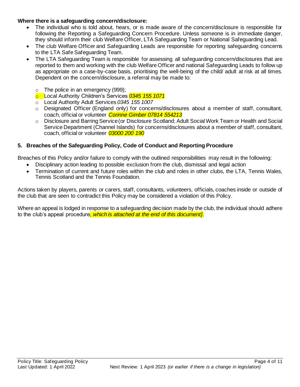#### **Where there is a safeguarding concern/disclosure:**

- The individual who is told about, hears, or is made aware of the concern/disclosure is responsible for following the Reporting a Safeguarding Concern Procedure. Unless someone is in immediate danger, they should inform their club Welfare Officer, LTA Safeguarding Team or National Safeguarding Lead.
- The club Welfare Officer and Safeguarding Leads are responsible for reporting safeguarding concerns to the LTA Safe Safeguarding Team.
- The LTA Safeguarding Team is responsible for assessing all safeguarding concern/disclosures that are reported to them and working with the club Welfare Officer and national Safeguarding Leads to follow up as appropriate on a case-by-case basis, prioritising the well-being of the child/ adult at risk at all times. Dependent on the concern/disclosure, a referral may be made to:
	- $\circ$  The police in an emergency (999);
	- o Local Authority Children's Services *0345 155 1071*
	- o Local Authority Adult Services *0345 155 1007*
	- o Designated Officer (England only) for concerns/disclosures about a member of staff, consultant, coach, official or volunteer *Corinne Gimber 07814 554213*
	- o Disclosure and Barring Service (or Disclosure Scotland; Adult Social Work Team or Health and Social Service Department (Channel Islands) for concerns/disclosures about a member of staff, consultant, coach, official or volunteer *03000 200 190*

#### **5. Breaches of the Safeguarding Policy, Code of Conduct and Reporting Procedure**

Breaches of this Policy and/or failure to comply with the outlined responsibilities may result in the following:

- Disciplinary action leading to possible exclusion from the club, dismissal and legal action
- Termination of current and future roles within the club and roles in other clubs, the LTA, Tennis Wales, Tennis Scotland and the Tennis Foundation*.*

Actions taken by players, parents or carers, staff, consultants, volunteers, officials, coaches inside or outside of the club that are seen to contradict this Policy may be considered a violation of this Policy.

Where an appeal is lodged in response to a safeguarding decision made by the club, the individual should adhere to the club's appeal procedure*, which is attached at the end of this document]*.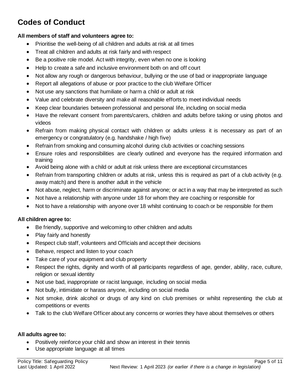# **Codes of Conduct**

#### **All members of staff and volunteers agree to:**

- Prioritise the well-being of all children and adults at risk at all times
- Treat all children and adults at risk fairly and with respect
- Be a positive role model. Act with integrity, even when no one is looking
- Help to create a safe and inclusive environment both on and off court
- Not allow any rough or dangerous behaviour, bullying or the use of bad or inappropriate language
- Report all allegations of abuse or poor practice to the club Welfare Officer
- Not use any sanctions that humiliate or harm a child or adult at risk
- Value and celebrate diversity and make all reasonable efforts to meet individual needs
- Keep clear boundaries between professional and personal life, including on social media
- Have the relevant consent from parents/carers, children and adults before taking or using photos and videos
- Refrain from making physical contact with children or adults unless it is necessary as part of an emergency or congratulatory (e.g. handshake / high five)
- Refrain from smoking and consuming alcohol during club activities or coaching sessions
- Ensure roles and responsibilities are clearly outlined and everyone has the required information and training
- Avoid being alone with a child or adult at risk unless there are exceptional circumstances
- Refrain from transporting children or adults at risk, unless this is required as part of a club activity (e.g. away match) and there is another adult in the vehicle
- Not abuse, neglect, harm or discriminate against anyone; or act in a way that may be interpreted as such
- Not have a relationship with anyone under 18 for whom they are coaching or responsible for
- Not to have a relationship with anyone over 18 whilst continuing to coach or be responsible for them

#### **All children agree to:**

- Be friendly, supportive and welcoming to other children and adults
- Play fairly and honestly
- Respect club staff, volunteers and Officials and accept their decisions
- Behave, respect and listen to your coach
- Take care of your equipment and club property
- Respect the rights, dignity and worth of all participants regardless of age, gender, ability, race, culture, religion or sexual identity
- Not use bad, inappropriate or racist language, including on social media
- Not bully, intimidate or harass anyone, including on social media
- Not smoke, drink alcohol or drugs of any kind on club premises or whilst representing the club at competitions or events
- Talk to the club Welfare Officer about any concerns or worries they have about themselves or others

#### **All adults agree to:**

- Positively reinforce your child and show an interest in their tennis
- Use appropriate language at all times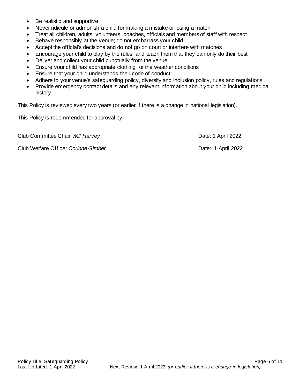- Be realistic and supportive
- Never ridicule or admonish a child for making a mistake or losing a match
- Treat all children, adults, volunteers, coaches, officials and members of staff with respect
- Behave responsibly at the venue; do not embarrass your child
- Accept the official's decisions and do not go on court or interfere with matches
- Encourage your child to play by the rules, and teach them that they can only do their best
- Deliver and collect your child punctually from the venue
- Ensure your child has appropriate clothing for the weather conditions
- Ensure that your child understands their code of conduct
- Adhere to your venue's safeguarding policy, diversity and inclusion policy, rules and regulations
- Provide emergency contact details and any relevant information about your child including medical history

This Policy is reviewed every two years (or earlier if there is a change in national legislation).

This Policy is recommended for approval by:

Club Committee Chair *Will Harvey* Date: 1 April 2022

Club Welfare Officer *Corinne Gimber* **Date: 1 April 2022**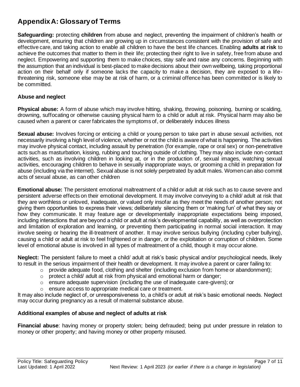## **Appendix A: Glossary of Terms**

**Safeguarding:** protecting **children** from abuse and neglect, preventing the impairment of children's health or development, ensuring that children are growing up in circumstances consistent with the provision of safe and effective care, and taking action to enable all children to have the best life chances. Enabling **adults at risk** to achieve the outcomes that matter to them in their life; protecting their right to live in safety, free from abuse and neglect. Empowering and supporting them to make choices, stay safe and raise any concerns. Beginning with the assumption that an individual is best-placed to make decisions about their own wellbeing, taking proportional action on their behalf only if someone lacks the capacity to make a decision, they are exposed to a lifethreatening risk, someone else may be at risk of harm, or a criminal offence has been committed or is likely to be committed.

#### **Abuse and neglect**

**Physical abuse:** A form of abuse which may involve hitting, shaking, throwing, poisoning, burning or scalding, drowning, suffocating or otherwise causing physical harm to a child or adult at risk. Physical harm may also be caused when a parent or carer fabricates the symptoms of, or deliberately induces illness

**Sexual abuse:** Involves forcing or enticing a child or young person to take part in abuse sexual activities, not necessarily involving a high level of violence, whether or not the child is aware of what is happening. The activities may involve physical contact, including assault by penetration (for example, rape or oral sex) or non-penetrative acts such as masturbation, kissing, rubbing and touching outside of clothing. They may also include non-contact activities, such as involving children in looking at, or in the production of, sexual images, watching sexual activities, encouraging children to behave in sexually inappropriate ways, or grooming a child in preparation for abuse (including via the internet). Sexual abuse is not solely perpetrated by adult males. Women can also commit acts of sexual abuse, as can other children

**Emotional abuse:** The persistent emotional maltreatment of a child or adult at risk such as to cause severe and persistent adverse effects on their emotional development. It may involve conveying to a child/ adult at risk that they are worthless or unloved, inadequate, or valued only insofar as they meet the needs of another person; not giving them opportunities to express their views; deliberately silencing them or 'making fun' of what they say or how they communicate. It may feature age or developmentally inappropriate expectations being imposed, including interactions that are beyond a child or adult at risk's developmental capability, as well as overprotection and limitation of exploration and learning, or preventing them participating in normal social interaction. It may involve seeing or hearing the ill-treatment of another. It may involve serious bullying (including cyber bullying), causing a child or adult at risk to feel frightened or in danger, or the exploitation or corruption of children. Some level of emotional abuse is involved in all types of maltreatment of a child, though it may occur alone.

**Neglect:** The persistent failure to meet a child/ adult at risk's basic physical and/or psychological needs, likely to result in the serious impairment of their health or development. It may involve a parent or carer failing to:

- $\circ$  provide adequate food, clothing and shelter (including exclusion from home or abandonment);
- $\circ$  protect a child/ adult at risk from physical and emotional harm or danger;
- $\circ$  ensure adequate supervision (including the use of inadequate care-givers); or
- o ensure access to appropriate medical care or treatment.

It may also include neglect of, or unresponsiveness to, a child's or adult at risk's basic emotional needs. Neglect may occur during pregnancy as a result of maternal substance abuse.

#### **Additional examples of abuse and neglect of adults at risk**

**Financial abuse**: having money or property stolen; being defrauded; being put under pressure in relation to money or other property; and having money or other property misused.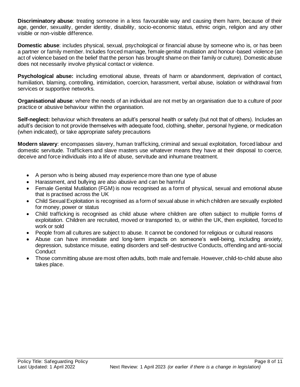**Discriminatory abuse**: treating someone in a less favourable way and causing them harm, because of their age, gender, sexuality, gender identity, disability, socio-economic status, ethnic origin, religion and any other visible or non-visible difference.

**Domestic abuse**: includes physical, sexual, psychological or financial abuse by someone who is, or has been a partner or family member. Includes forced marriage, female genital mutilation and honour-based violence (an act of violence based on the belief that the person has brought shame on their family or culture). Domestic abuse does not necessarily involve physical contact or violence.

**Psychological abuse:** including emotional abuse, threats of harm or abandonment, deprivation of contact, humiliation, blaming, controlling, intimidation, coercion, harassment, verbal abuse, isolation or withdrawal from services or supportive networks.

**Organisational abuse**: where the needs of an individual are not met by an organisation due to a culture of poor practice or abusive behaviour within the organisation.

**Self-neglect:** behaviour which threatens an adult's personal health or safety (but not that of others). Includes an adult's decision to not provide themselves with adequate food, clothing, shelter, personal hygiene, or medication (when indicated), or take appropriate safety precautions

**Modern slavery**: encompasses slavery, human trafficking, criminal and sexual exploitation, forced labour and domestic servitude. Traffickers and slave masters use whatever means they have at their disposal to coerce, deceive and force individuals into a life of abuse, servitude and inhumane treatment.

- A person who is being abused may experience more than one type of abuse
- Harassment, and bullying are also abusive and can be harmful
- Female Genital Mutilation (FGM) is now recognised as a form of physical, sexual and emotional abuse that is practised across the UK
- Child Sexual Exploitation is recognised as a form of sexual abuse in which children are sexually exploited for money, power or status
- Child trafficking is recognised as child abuse where children are often subject to multiple forms of exploitation. Children are recruited, moved or transported to, or within the UK, then exploited, forced to work or sold
- People from all cultures are subject to abuse. It cannot be condoned for religious or cultural reasons
- Abuse can have immediate and long-term impacts on someone's well-being, including anxiety, depression, substance misuse, eating disorders and self-destructive Conducts, offending and anti-social **Conduct**
- Those committing abuse are most often adults, both male and female. However, child-to-child abuse also takes place.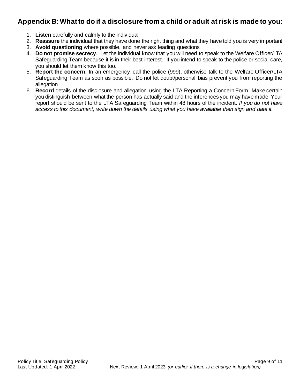## **Appendix B: What to do if a disclosure from a child or adult at risk is made to you:**

- 1. **Listen** carefully and calmly to the individual
- 2. **Reassure** the individual that they have done the right thing and what they have told you is very important
- 3. **Avoid questioning** where possible, and never ask leading questions
- 4. **Do not promise secrecy**. Let the individual know that you will need to speak to the Welfare Officer/LTA Safeguarding Team because it is in their best interest. If you intend to speak to the police or social care, you should let them know this too.
- 5. **Report the concern.** In an emergency, call the police (999), otherwise talk to the Welfare Officer/LTA Safeguarding Team as soon as possible. Do not let doubt/personal bias prevent you from reporting the allegation
- 6. **Record** details of the disclosure and allegation using the LTA Reporting a Concern Form*.* Make certain you distinguish between what the person has actually said and the inferences you may have made. Your report should be sent to the LTA Safeguarding Team within 48 hours of the incident. *If you do not have access to this document, write down the details using what you have available then sign and date it.*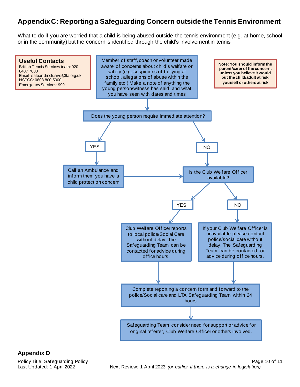## **Appendix C: Reporting a Safeguarding Concern outside the Tennis Environment**

What to do if you are worried that a child is being abused outside the tennis environment (e.g. at home, school or in the community) but the concern is identified through the child's involvement in tennis



#### **Appendix D**